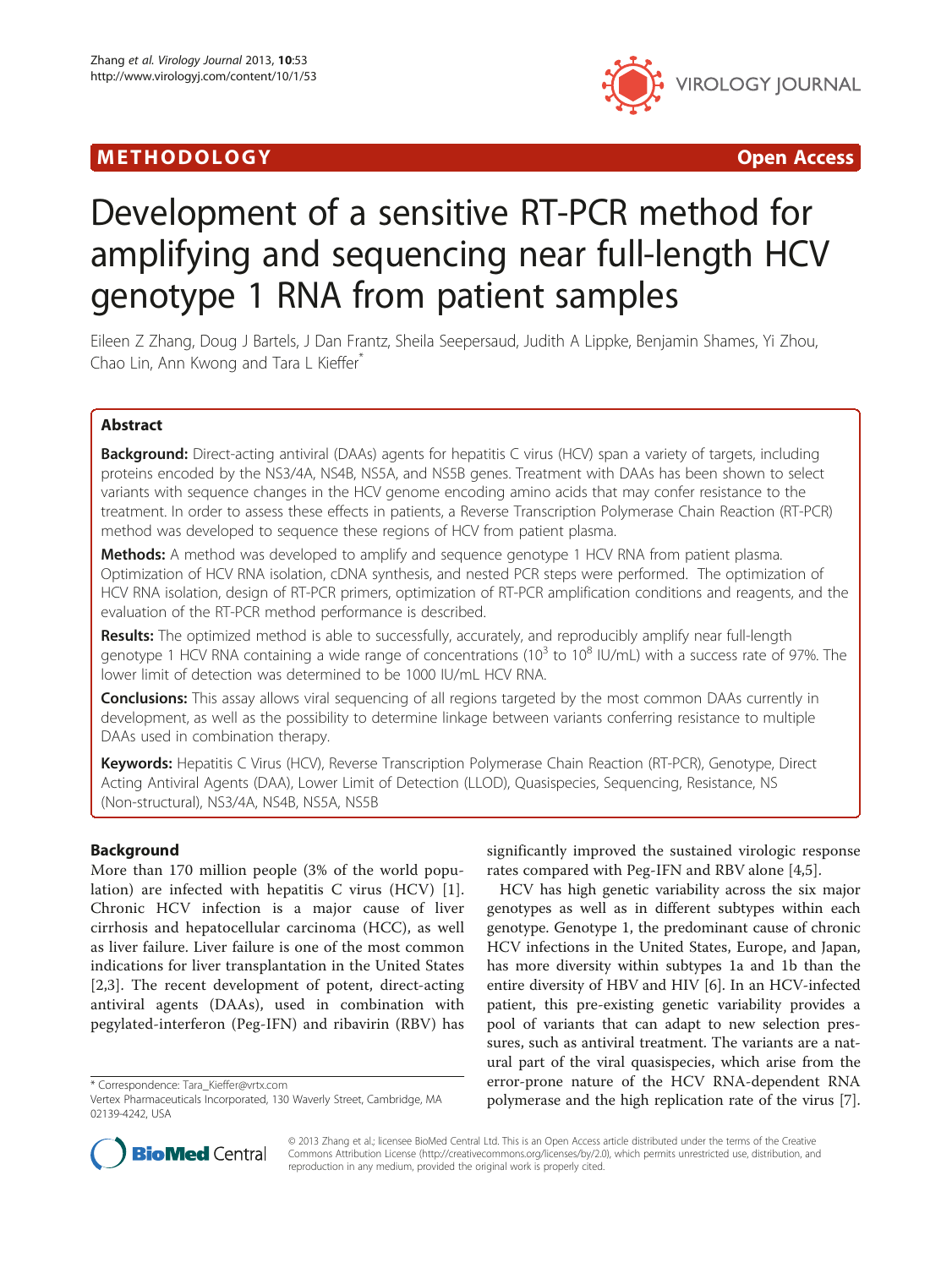# M E THODO L OGY Open Access



# Development of a sensitive RT-PCR method for amplifying and sequencing near full-length HCV genotype 1 RNA from patient samples

Eileen Z Zhang, Doug J Bartels, J Dan Frantz, Sheila Seepersaud, Judith A Lippke, Benjamin Shames, Yi Zhou, Chao Lin, Ann Kwong and Tara L Kieffer<sup>®</sup>

# Abstract

Background: Direct-acting antiviral (DAAs) agents for hepatitis C virus (HCV) span a variety of targets, including proteins encoded by the NS3/4A, NS4B, NS5A, and NS5B genes. Treatment with DAAs has been shown to select variants with sequence changes in the HCV genome encoding amino acids that may confer resistance to the treatment. In order to assess these effects in patients, a Reverse Transcription Polymerase Chain Reaction (RT-PCR) method was developed to sequence these regions of HCV from patient plasma.

Methods: A method was developed to amplify and sequence genotype 1 HCV RNA from patient plasma. Optimization of HCV RNA isolation, cDNA synthesis, and nested PCR steps were performed. The optimization of HCV RNA isolation, design of RT-PCR primers, optimization of RT-PCR amplification conditions and reagents, and the evaluation of the RT-PCR method performance is described.

Results: The optimized method is able to successfully, accurately, and reproducibly amplify near full-length genotype 1 HCV RNA containing a wide range of concentrations ( $10^3$  to  $10^8$  IU/mL) with a success rate of 97%. The lower limit of detection was determined to be 1000 IU/mL HCV RNA.

**Conclusions:** This assay allows viral sequencing of all regions targeted by the most common DAAs currently in development, as well as the possibility to determine linkage between variants conferring resistance to multiple DAAs used in combination therapy.

Keywords: Hepatitis C Virus (HCV), Reverse Transcription Polymerase Chain Reaction (RT-PCR), Genotype, Direct Acting Antiviral Agents (DAA), Lower Limit of Detection (LLOD), Quasispecies, Sequencing, Resistance, NS (Non-structural), NS3/4A, NS4B, NS5A, NS5B

# Background

More than 170 million people (3% of the world population) are infected with hepatitis C virus (HCV) [[1](#page-4-0)]. Chronic HCV infection is a major cause of liver cirrhosis and hepatocellular carcinoma (HCC), as well as liver failure. Liver failure is one of the most common indications for liver transplantation in the United States [[2,3](#page-4-0)]. The recent development of potent, direct-acting antiviral agents (DAAs), used in combination with pegylated-interferon (Peg-IFN) and ribavirin (RBV) has

significantly improved the sustained virologic response rates compared with Peg-IFN and RBV alone [[4,5\]](#page-4-0).

HCV has high genetic variability across the six major genotypes as well as in different subtypes within each genotype. Genotype 1, the predominant cause of chronic HCV infections in the United States, Europe, and Japan, has more diversity within subtypes 1a and 1b than the entire diversity of HBV and HIV [[6\]](#page-4-0). In an HCV-infected patient, this pre-existing genetic variability provides a pool of variants that can adapt to new selection pressures, such as antiviral treatment. The variants are a natural part of the viral quasispecies, which arise from the error-prone nature of the HCV RNA-dependent RNA polymerase and the high replication rate of the virus [\[7](#page-4-0)].



© 2013 Zhang et al.; licensee BioMed Central Ltd. This is an Open Access article distributed under the terms of the Creative Commons Attribution License [\(http://creativecommons.org/licenses/by/2.0\)](http://creativecommons.org/licenses/by/2.0), which permits unrestricted use, distribution, and reproduction in any medium, provided the original work is properly cited.

<sup>\*</sup> Correspondence: [Tara\\_Kieffer@vrtx.com](mailto:Tara_Kieffer@vrtx.com)

Vertex Pharmaceuticals Incorporated, 130 Waverly Street, Cambridge, MA 02139-4242, USA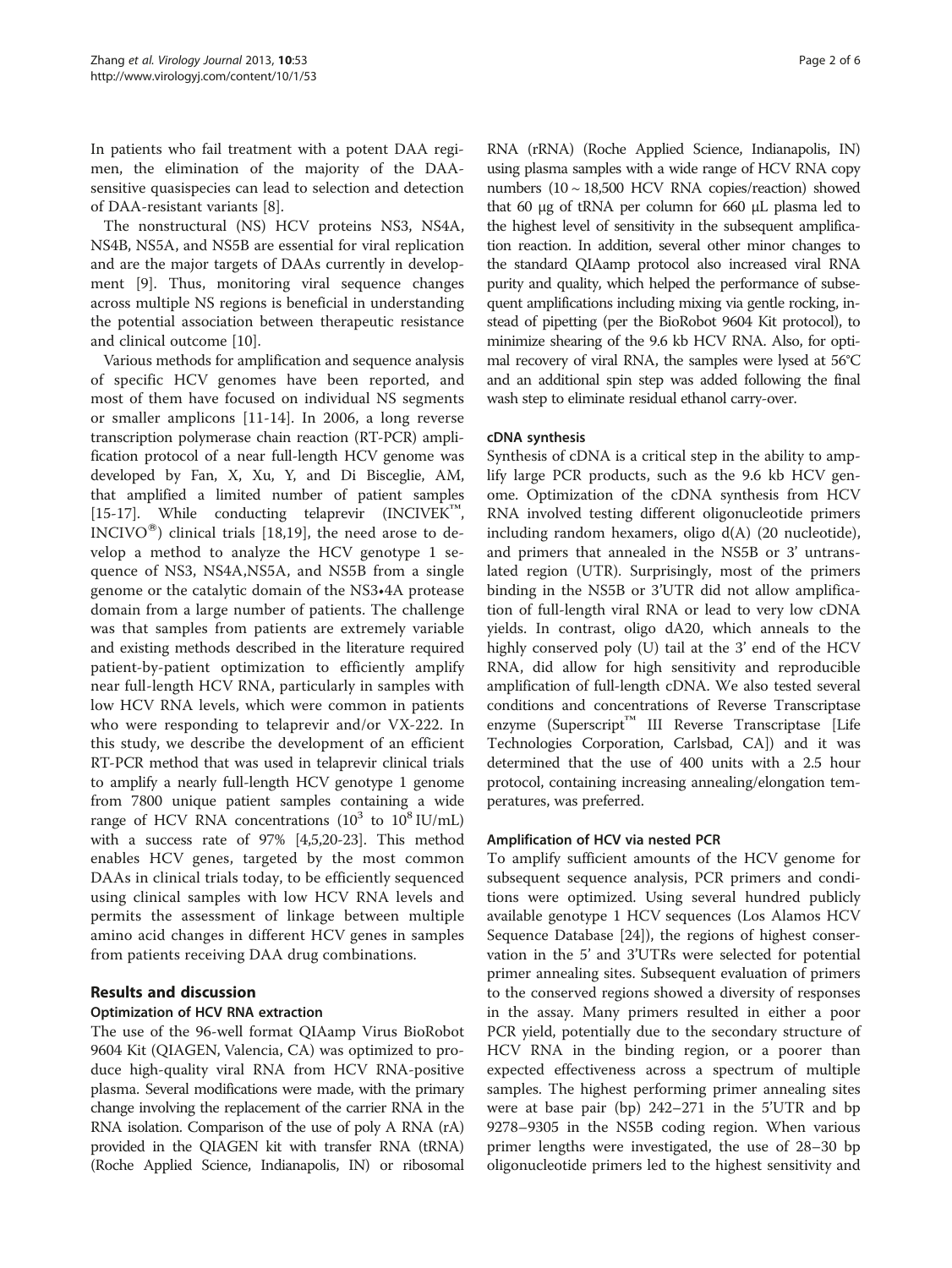In patients who fail treatment with a potent DAA regimen, the elimination of the majority of the DAAsensitive quasispecies can lead to selection and detection of DAA-resistant variants [[8](#page-4-0)].

The nonstructural (NS) HCV proteins NS3, NS4A, NS4B, NS5A, and NS5B are essential for viral replication and are the major targets of DAAs currently in development [\[9\]](#page-4-0). Thus, monitoring viral sequence changes across multiple NS regions is beneficial in understanding the potential association between therapeutic resistance and clinical outcome [\[10](#page-4-0)].

Various methods for amplification and sequence analysis of specific HCV genomes have been reported, and most of them have focused on individual NS segments or smaller amplicons [\[11](#page-5-0)-[14\]](#page-5-0). In 2006, a long reverse transcription polymerase chain reaction (RT-PCR) amplification protocol of a near full-length HCV genome was developed by Fan, X, Xu, Y, and Di Bisceglie, AM, that amplified a limited number of patient samples [[15](#page-5-0)-[17\]](#page-5-0). While conducting telaprevir (INCIVEK™, INCIVO<sup>®</sup>) clinical trials [[18,19](#page-5-0)], the need arose to develop a method to analyze the HCV genotype 1 sequence of NS3, NS4A,NS5A, and NS5B from a single genome or the catalytic domain of the NS3•4A protease domain from a large number of patients. The challenge was that samples from patients are extremely variable and existing methods described in the literature required patient-by-patient optimization to efficiently amplify near full-length HCV RNA, particularly in samples with low HCV RNA levels, which were common in patients who were responding to telaprevir and/or VX-222. In this study, we describe the development of an efficient RT-PCR method that was used in telaprevir clinical trials to amplify a nearly full-length HCV genotype 1 genome from 7800 unique patient samples containing a wide range of HCV RNA concentrations  $(10^3 \text{ to } 10^8 \text{ IU/mL})$ with a success rate of 97% [[4,5](#page-4-0)[,20](#page-5-0)-[23](#page-5-0)]. This method enables HCV genes, targeted by the most common DAAs in clinical trials today, to be efficiently sequenced using clinical samples with low HCV RNA levels and permits the assessment of linkage between multiple amino acid changes in different HCV genes in samples from patients receiving DAA drug combinations.

# Results and discussion

# Optimization of HCV RNA extraction

The use of the 96-well format QIAamp Virus BioRobot 9604 Kit (QIAGEN, Valencia, CA) was optimized to produce high-quality viral RNA from HCV RNA-positive plasma. Several modifications were made, with the primary change involving the replacement of the carrier RNA in the RNA isolation. Comparison of the use of poly A RNA (rA) provided in the QIAGEN kit with transfer RNA (tRNA) (Roche Applied Science, Indianapolis, IN) or ribosomal RNA (rRNA) (Roche Applied Science, Indianapolis, IN) using plasma samples with a wide range of HCV RNA copy numbers (10 ~ 18,500 HCV RNA copies/reaction) showed that 60 μg of tRNA per column for 660 μL plasma led to the highest level of sensitivity in the subsequent amplification reaction. In addition, several other minor changes to the standard QIAamp protocol also increased viral RNA purity and quality, which helped the performance of subsequent amplifications including mixing via gentle rocking, instead of pipetting (per the BioRobot 9604 Kit protocol), to minimize shearing of the 9.6 kb HCV RNA. Also, for optimal recovery of viral RNA, the samples were lysed at 56°C and an additional spin step was added following the final wash step to eliminate residual ethanol carry-over.

# cDNA synthesis

Synthesis of cDNA is a critical step in the ability to amplify large PCR products, such as the 9.6 kb HCV genome. Optimization of the cDNA synthesis from HCV RNA involved testing different oligonucleotide primers including random hexamers, oligo d(A) (20 nucleotide), and primers that annealed in the NS5B or 3' untranslated region (UTR). Surprisingly, most of the primers binding in the NS5B or 3'UTR did not allow amplification of full-length viral RNA or lead to very low cDNA yields. In contrast, oligo dA20, which anneals to the highly conserved poly (U) tail at the 3' end of the HCV RNA, did allow for high sensitivity and reproducible amplification of full-length cDNA. We also tested several conditions and concentrations of Reverse Transcriptase enzyme (Superscript<sup>™</sup> III Reverse Transcriptase [Life Technologies Corporation, Carlsbad, CA]) and it was determined that the use of 400 units with a 2.5 hour protocol, containing increasing annealing/elongation temperatures, was preferred.

# Amplification of HCV via nested PCR

To amplify sufficient amounts of the HCV genome for subsequent sequence analysis, PCR primers and conditions were optimized. Using several hundred publicly available genotype 1 HCV sequences (Los Alamos HCV Sequence Database [[24\]](#page-5-0)), the regions of highest conservation in the 5' and 3'UTRs were selected for potential primer annealing sites. Subsequent evaluation of primers to the conserved regions showed a diversity of responses in the assay. Many primers resulted in either a poor PCR yield, potentially due to the secondary structure of HCV RNA in the binding region, or a poorer than expected effectiveness across a spectrum of multiple samples. The highest performing primer annealing sites were at base pair (bp) 242–271 in the 5'UTR and bp 9278–9305 in the NS5B coding region. When various primer lengths were investigated, the use of 28–30 bp oligonucleotide primers led to the highest sensitivity and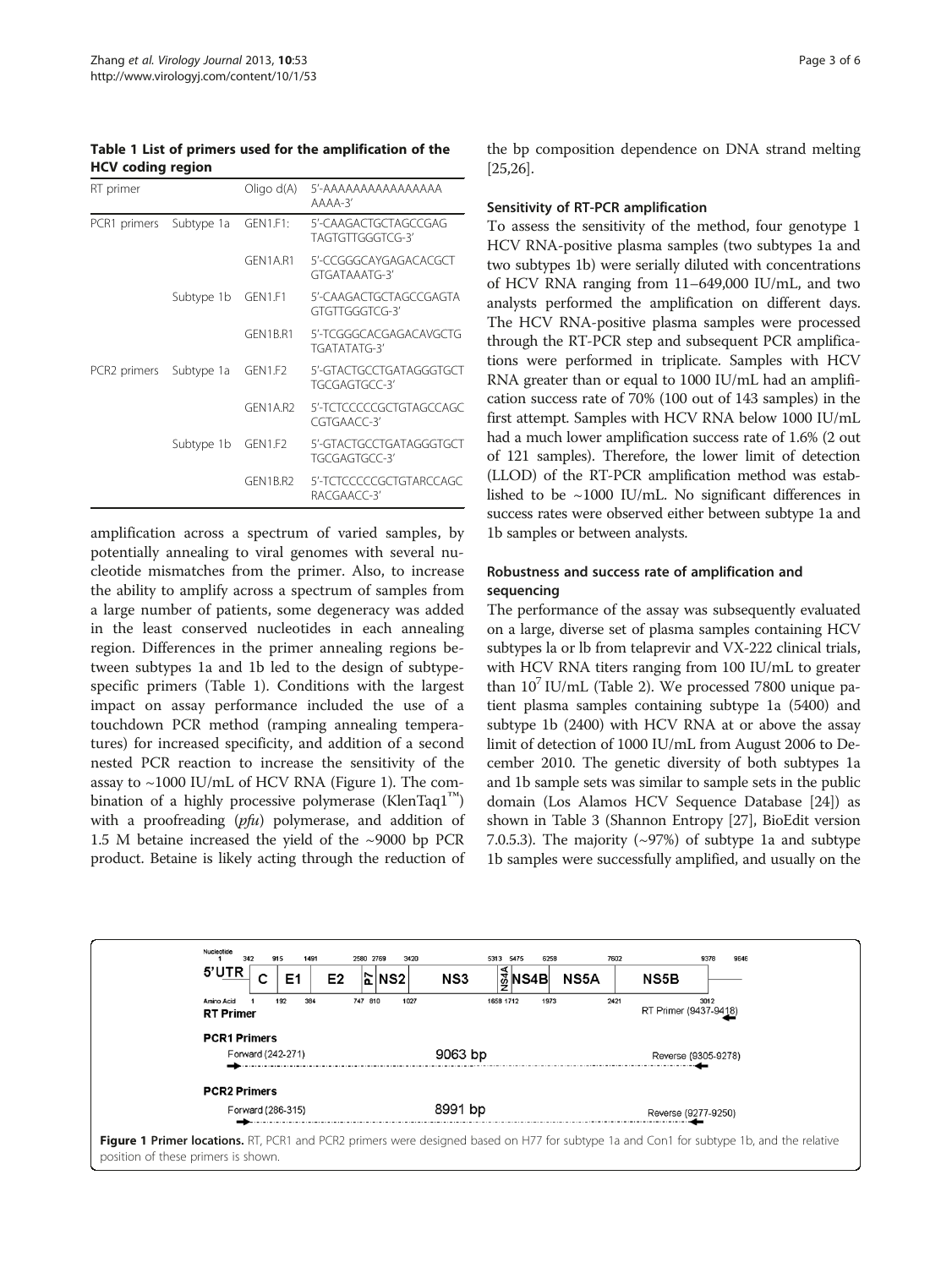<span id="page-2-0"></span>Table 1 List of primers used for the amplification of the HCV coding region

| RT primer    |            | Oligo d(A)      | 5'-AAAAAAAAAAAAAAA<br>$AAAA-3'$          |
|--------------|------------|-----------------|------------------------------------------|
| PCR1 primers | Subtype 1a | <b>GEN1.F1:</b> | 5'-CAAGACTGCTAGCCGAG<br>TAGTGTTGGGTCG-3' |
|              |            | GFN1A.R1        | 5'-CCGGGCAYGAGACACGCT<br>GTGATAAATG-3'   |
|              | Subtype 1b | GFN1.F1         | 5'-CAAGACTGCTAGCCGAGTA<br>GTGTTGGGTCG-3' |
|              |            | GFN1B.R1        | 5'-TCGGGCACGAGACAVGCTG<br>TGATATATG-3'   |
| PCR2 primers | Subtype 1a | GFN1.F2         | 5'-GTACTGCCTGATAGGGTGCT<br>TGCGAGTGCC-3' |
|              |            | GFN1A.R2        | 5'-TCTCCCCCGCTGTAGCCAGC<br>CGTGAACC-3'   |
|              | Subtype 1b | GFN1.F2         | 5'-GTACTGCCTGATAGGGTGCT<br>TGCGAGTGCC-3' |
|              |            | GFN1B.R2        | 5'-TCTCCCCCGCTGTARCCAGC<br>RACGAACC-3'   |

amplification across a spectrum of varied samples, by potentially annealing to viral genomes with several nucleotide mismatches from the primer. Also, to increase the ability to amplify across a spectrum of samples from a large number of patients, some degeneracy was added in the least conserved nucleotides in each annealing region. Differences in the primer annealing regions between subtypes 1a and 1b led to the design of subtypespecific primers (Table 1). Conditions with the largest impact on assay performance included the use of a touchdown PCR method (ramping annealing temperatures) for increased specificity, and addition of a second nested PCR reaction to increase the sensitivity of the assay to  $\sim$ 1000 IU/mL of HCV RNA (Figure 1). The combination of a highly processive polymerase (KlenTaq1™) with a proofreading (*pfu*) polymerase, and addition of 1.5 M betaine increased the yield of the ~9000 bp PCR product. Betaine is likely acting through the reduction of

the bp composition dependence on DNA strand melting [[25,26](#page-5-0)].

#### Sensitivity of RT-PCR amplification

To assess the sensitivity of the method, four genotype 1 HCV RNA-positive plasma samples (two subtypes 1a and two subtypes 1b) were serially diluted with concentrations of HCV RNA ranging from 11–649,000 IU/mL, and two analysts performed the amplification on different days. The HCV RNA-positive plasma samples were processed through the RT-PCR step and subsequent PCR amplifications were performed in triplicate. Samples with HCV RNA greater than or equal to 1000 IU/mL had an amplification success rate of 70% (100 out of 143 samples) in the first attempt. Samples with HCV RNA below 1000 IU/mL had a much lower amplification success rate of 1.6% (2 out of 121 samples). Therefore, the lower limit of detection (LLOD) of the RT-PCR amplification method was established to be  $\sim$ 1000 IU/mL. No significant differences in success rates were observed either between subtype 1a and 1b samples or between analysts.

# Robustness and success rate of amplification and sequencing

The performance of the assay was subsequently evaluated on a large, diverse set of plasma samples containing HCV subtypes la or lb from telaprevir and VX-222 clinical trials, with HCV RNA titers ranging from 100 IU/mL to greater than  $10^{\prime}$  IU/mL (Table [2](#page-3-0)). We processed 7800 unique patient plasma samples containing subtype 1a (5400) and subtype 1b (2400) with HCV RNA at or above the assay limit of detection of 1000 IU/mL from August 2006 to December 2010. The genetic diversity of both subtypes 1a and 1b sample sets was similar to sample sets in the public domain (Los Alamos HCV Sequence Database [[24](#page-5-0)]) as shown in Table [3](#page-3-0) (Shannon Entropy [[27](#page-5-0)], BioEdit version 7.0.5.3). The majority  $({\sim}97%)$  of subtype 1a and subtype 1b samples were successfully amplified, and usually on the

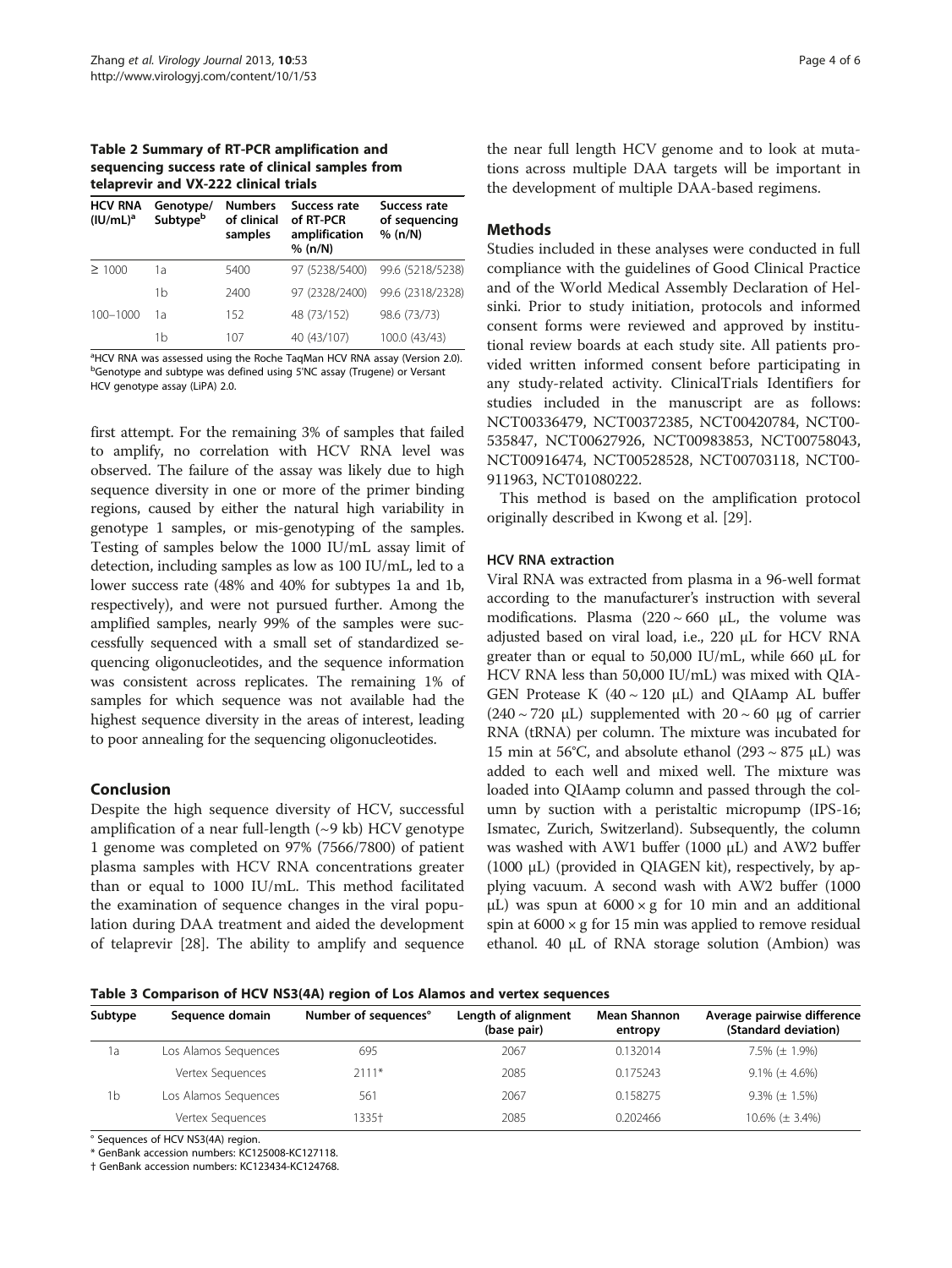<span id="page-3-0"></span>Table 2 Summary of RT-PCR amplification and sequencing success rate of clinical samples from telaprevir and VX-222 clinical trials

| <b>HCV RNA</b><br>$(IU/mL)^a$ | Genotype/<br>Subtypeb | <b>Numbers</b><br>of clinical<br>samples | Success rate<br>of RT-PCR<br>amplification<br>% (n/N) | Success rate<br>of sequencing<br>% (n/N) |
|-------------------------------|-----------------------|------------------------------------------|-------------------------------------------------------|------------------------------------------|
| $\geq 1000$                   | 1а                    | 5400                                     | 97 (5238/5400)                                        | 99.6 (5218/5238)                         |
|                               | 1b                    | 2400                                     | 97 (2328/2400)                                        | 99.6 (2318/2328)                         |
| $100 - 1000$                  | 1а                    | 152                                      | 48 (73/152)                                           | 98.6 (73/73)                             |
|                               | 1b                    | 107                                      | 40 (43/107)                                           | 100.0 (43/43)                            |

<sup>a</sup>HCV RNA was assessed using the Roche TaqMan HCV RNA assay (Version 2.0). <sup>b</sup>Genotype and subtype was defined using 5'NC assay (Trugene) or Versant HCV genotype assay (LiPA) 2.0.

first attempt. For the remaining 3% of samples that failed to amplify, no correlation with HCV RNA level was observed. The failure of the assay was likely due to high sequence diversity in one or more of the primer binding regions, caused by either the natural high variability in genotype 1 samples, or mis-genotyping of the samples. Testing of samples below the 1000 IU/mL assay limit of detection, including samples as low as 100 IU/mL, led to a lower success rate (48% and 40% for subtypes 1a and 1b, respectively), and were not pursued further. Among the amplified samples, nearly 99% of the samples were successfully sequenced with a small set of standardized sequencing oligonucleotides, and the sequence information was consistent across replicates. The remaining 1% of samples for which sequence was not available had the highest sequence diversity in the areas of interest, leading to poor annealing for the sequencing oligonucleotides.

# Conclusion

Despite the high sequence diversity of HCV, successful amplification of a near full-length  $({\sim}9 \text{ kb})$  HCV genotype 1 genome was completed on 97% (7566/7800) of patient plasma samples with HCV RNA concentrations greater than or equal to 1000 IU/mL. This method facilitated the examination of sequence changes in the viral population during DAA treatment and aided the development of telaprevir [[28\]](#page-5-0). The ability to amplify and sequence

the near full length HCV genome and to look at mutations across multiple DAA targets will be important in the development of multiple DAA-based regimens.

# Methods

Studies included in these analyses were conducted in full compliance with the guidelines of Good Clinical Practice and of the World Medical Assembly Declaration of Helsinki. Prior to study initiation, protocols and informed consent forms were reviewed and approved by institutional review boards at each study site. All patients provided written informed consent before participating in any study-related activity. ClinicalTrials Identifiers for studies included in the manuscript are as follows: NCT00336479, NCT00372385, NCT00420784, NCT00- 535847, NCT00627926, NCT00983853, NCT00758043, NCT00916474, NCT00528528, NCT00703118, NCT00- 911963, NCT01080222.

This method is based on the amplification protocol originally described in Kwong et al. [[29](#page-5-0)].

#### HCV RNA extraction

Viral RNA was extracted from plasma in a 96-well format according to the manufacturer's instruction with several modifications. Plasma  $(220 \sim 660 \mu L,$  the volume was adjusted based on viral load, i.e., 220 μL for HCV RNA greater than or equal to 50,000 IU/mL, while 660 μL for HCV RNA less than 50,000 IU/mL) was mixed with QIA-GEN Protease K  $(40 \sim 120 \mu L)$  and QIAamp AL buffer  $(240 \sim 720 \mu L)$  supplemented with  $20 \sim 60 \mu g$  of carrier RNA (tRNA) per column. The mixture was incubated for 15 min at 56°C, and absolute ethanol (293  $\sim$  875 μL) was added to each well and mixed well. The mixture was loaded into QIAamp column and passed through the column by suction with a peristaltic micropump (IPS-16; Ismatec, Zurich, Switzerland). Subsequently, the column was washed with AW1 buffer (1000 μL) and AW2 buffer (1000 μL) (provided in QIAGEN kit), respectively, by applying vacuum. A second wash with AW2 buffer (1000 μL) was spun at  $6000 \times g$  for 10 min and an additional spin at  $6000 \times g$  for 15 min was applied to remove residual ethanol. 40 μL of RNA storage solution (Ambion) was

Table 3 Comparison of HCV NS3(4A) region of Los Alamos and vertex sequences

| Subtype | Sequence domain      | Number of sequences° | Length of alignment<br>(base pair) | <b>Mean Shannon</b><br>entropy | Average pairwise difference<br>(Standard deviation) |
|---------|----------------------|----------------------|------------------------------------|--------------------------------|-----------------------------------------------------|
| 1a      | Los Alamos Sequences | 695                  | 2067                               | 0.132014                       | 7.5% $(\pm 1.9\%)$                                  |
|         | Vertex Sequences     | $2111*$              | 2085                               | 0.175243                       | $9.1\%$ ( $\pm$ 4.6%)                               |
| 1b      | Los Alamos Sequences | 561                  | 2067                               | 0.158275                       | $9.3\%$ ( $\pm$ 1.5%)                               |
|         | Vertex Sequences     | 1335†                | 2085                               | 0.202466                       | $10.6\%$ ( $\pm$ 3.4%)                              |

° Sequences of HCV NS3(4A) region.

\* GenBank accession numbers: KC125008-KC127118.

† GenBank accession numbers: KC123434-KC124768.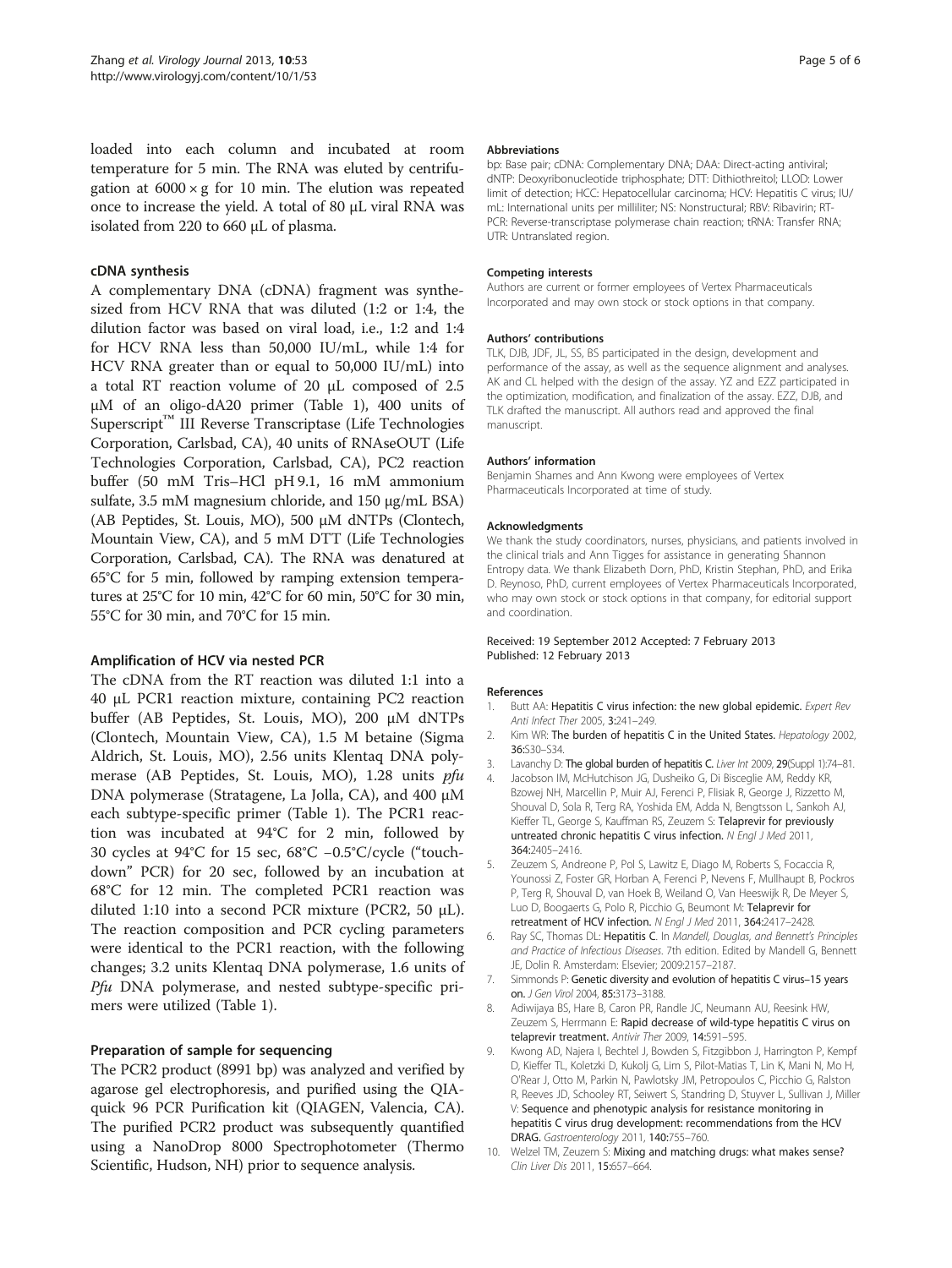<span id="page-4-0"></span>loaded into each column and incubated at room temperature for 5 min. The RNA was eluted by centrifugation at  $6000 \times g$  for 10 min. The elution was repeated once to increase the yield. A total of 80 μL viral RNA was isolated from 220 to 660 μL of plasma.

#### cDNA synthesis

A complementary DNA (cDNA) fragment was synthesized from HCV RNA that was diluted (1:2 or 1:4, the dilution factor was based on viral load, i.e., 1:2 and 1:4 for HCV RNA less than 50,000 IU/mL, while 1:4 for HCV RNA greater than or equal to 50,000 IU/mL) into a total RT reaction volume of 20 μL composed of 2.5 μM of an oligo-dA20 primer (Table [1](#page-2-0)), 400 units of Superscript™ III Reverse Transcriptase (Life Technologies Corporation, Carlsbad, CA), 40 units of RNAseOUT (Life Technologies Corporation, Carlsbad, CA), PC2 reaction buffer (50 mM Tris–HCl pH 9.1, 16 mM ammonium sulfate, 3.5 mM magnesium chloride, and 150 μg/mL BSA) (AB Peptides, St. Louis, MO), 500 μM dNTPs (Clontech, Mountain View, CA), and 5 mM DTT (Life Technologies Corporation, Carlsbad, CA). The RNA was denatured at 65°C for 5 min, followed by ramping extension temperatures at 25°C for 10 min, 42°C for 60 min, 50°C for 30 min, 55°C for 30 min, and 70°C for 15 min.

#### Amplification of HCV via nested PCR

The cDNA from the RT reaction was diluted 1:1 into a 40 μL PCR1 reaction mixture, containing PC2 reaction buffer (AB Peptides, St. Louis, MO), 200 μM dNTPs (Clontech, Mountain View, CA), 1.5 M betaine (Sigma Aldrich, St. Louis, MO), 2.56 units Klentaq DNA polymerase (AB Peptides, St. Louis, MO), 1.28 units pfu DNA polymerase (Stratagene, La Jolla, CA), and 400 μM each subtype-specific primer (Table [1\)](#page-2-0). The PCR1 reaction was incubated at 94°C for 2 min, followed by 30 cycles at 94°C for 15 sec, 68°C −0.5°C/cycle ("touchdown" PCR) for 20 sec, followed by an incubation at 68°C for 12 min. The completed PCR1 reaction was diluted 1:10 into a second PCR mixture (PCR2, 50 μL). The reaction composition and PCR cycling parameters were identical to the PCR1 reaction, with the following changes; 3.2 units Klentaq DNA polymerase, 1.6 units of Pfu DNA polymerase, and nested subtype-specific primers were utilized (Table [1](#page-2-0)).

# Preparation of sample for sequencing

The PCR2 product (8991 bp) was analyzed and verified by agarose gel electrophoresis, and purified using the QIAquick 96 PCR Purification kit (QIAGEN, Valencia, CA). The purified PCR2 product was subsequently quantified using a NanoDrop 8000 Spectrophotometer (Thermo Scientific, Hudson, NH) prior to sequence analysis.

#### Abbreviations

bp: Base pair; cDNA: Complementary DNA; DAA: Direct-acting antiviral; dNTP: Deoxyribonucleotide triphosphate; DTT: Dithiothreitol; LLOD: Lower limit of detection; HCC: Hepatocellular carcinoma; HCV: Hepatitis C virus; IU/ mL: International units per milliliter; NS: Nonstructural; RBV: Ribavirin; RT-PCR: Reverse-transcriptase polymerase chain reaction; tRNA: Transfer RNA; UTR: Untranslated region.

#### Competing interests

Authors are current or former employees of Vertex Pharmaceuticals Incorporated and may own stock or stock options in that company.

#### Authors' contributions

TLK, DJB, JDF, JL, SS, BS participated in the design, development and performance of the assay, as well as the sequence alignment and analyses. AK and CL helped with the design of the assay. YZ and EZZ participated in the optimization, modification, and finalization of the assay. EZZ, DJB, and TLK drafted the manuscript. All authors read and approved the final manuscript.

#### Authors' information

Benjamin Shames and Ann Kwong were employees of Vertex Pharmaceuticals Incorporated at time of study.

#### Acknowledgments

We thank the study coordinators, nurses, physicians, and patients involved in the clinical trials and Ann Tigges for assistance in generating Shannon Entropy data. We thank Elizabeth Dorn, PhD, Kristin Stephan, PhD, and Erika D. Reynoso, PhD, current employees of Vertex Pharmaceuticals Incorporated, who may own stock or stock options in that company, for editorial support and coordination.

#### Received: 19 September 2012 Accepted: 7 February 2013 Published: 12 February 2013

#### References

- 1. Butt AA: Hepatitis C virus infection: the new global epidemic. Expert Rev Anti Infect Ther 2005, 3:241–249.
- 2. Kim WR: The burden of hepatitis C in the United States. Hepatology 2002, 36:S30–S34.
- 3. Lavanchy D: The global burden of hepatitis C. Liver Int 2009, 29(Suppl 1):74-81.
- 4. Jacobson IM, McHutchison JG, Dusheiko G, Di Bisceglie AM, Reddy KR, Bzowej NH, Marcellin P, Muir AJ, Ferenci P, Flisiak R, George J, Rizzetto M, Shouval D, Sola R, Terg RA, Yoshida EM, Adda N, Bengtsson L, Sankoh AJ, Kieffer TL, George S, Kauffman RS, Zeuzem S: Telaprevir for previously untreated chronic hepatitis C virus infection. N Engl J Med 2011, 364:2405–2416.
- 5. Zeuzem S, Andreone P, Pol S, Lawitz E, Diago M, Roberts S, Focaccia R, Younossi Z, Foster GR, Horban A, Ferenci P, Nevens F, Mullhaupt B, Pockros P, Terg R, Shouval D, van Hoek B, Weiland O, Van Heeswijk R, De Meyer S, Luo D, Boogaerts G, Polo R, Picchio G, Beumont M: Telaprevir for retreatment of HCV infection. N Engl J Med 2011, 364:2417–2428.
- Ray SC, Thomas DL: Hepatitis C. In Mandell, Douglas, and Bennett's Principles and Practice of Infectious Diseases. 7th edition. Edited by Mandell G, Bennett JE, Dolin R. Amsterdam: Elsevier; 2009:2157–2187.
- 7. Simmonds P: Genetic diversity and evolution of hepatitis C virus-15 years on. J Gen Virol 2004, 85:3173–3188.
- 8. Adiwijaya BS, Hare B, Caron PR, Randle JC, Neumann AU, Reesink HW, Zeuzem S, Herrmann E: Rapid decrease of wild-type hepatitis C virus on telaprevir treatment. Antivir Ther 2009, 14:591–595.
- 9. Kwong AD, Najera I, Bechtel J, Bowden S, Fitzgibbon J, Harrington P, Kempf D, Kieffer TL, Koletzki D, Kukolj G, Lim S, Pilot-Matias T, Lin K, Mani N, Mo H, O'Rear J, Otto M, Parkin N, Pawlotsky JM, Petropoulos C, Picchio G, Ralston R, Reeves JD, Schooley RT, Seiwert S, Standring D, Stuyver L, Sullivan J, Miller V: Sequence and phenotypic analysis for resistance monitoring in hepatitis C virus drug development: recommendations from the HCV DRAG. Gastroenterology 2011, 140:755–760.
- 10. Welzel TM, Zeuzem S: Mixing and matching drugs: what makes sense? Clin Liver Dis 2011, 15:657–664.